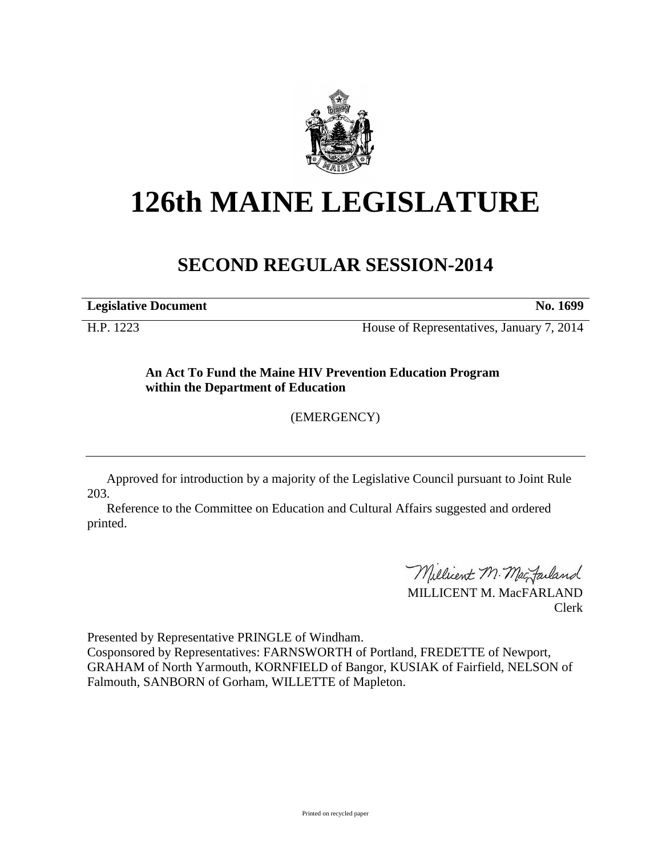

## **126th MAINE LEGISLATURE**

## **SECOND REGULAR SESSION-2014**

**Legislative Document No. 1699**

H.P. 1223 House of Representatives, January 7, 2014

**An Act To Fund the Maine HIV Prevention Education Program within the Department of Education**

(EMERGENCY)

Approved for introduction by a majority of the Legislative Council pursuant to Joint Rule 203.

Reference to the Committee on Education and Cultural Affairs suggested and ordered printed.

Millicent M. MacJarland

MILLICENT M. MacFARLAND Clerk

Presented by Representative PRINGLE of Windham. Cosponsored by Representatives: FARNSWORTH of Portland, FREDETTE of Newport, GRAHAM of North Yarmouth, KORNFIELD of Bangor, KUSIAK of Fairfield, NELSON of Falmouth, SANBORN of Gorham, WILLETTE of Mapleton.